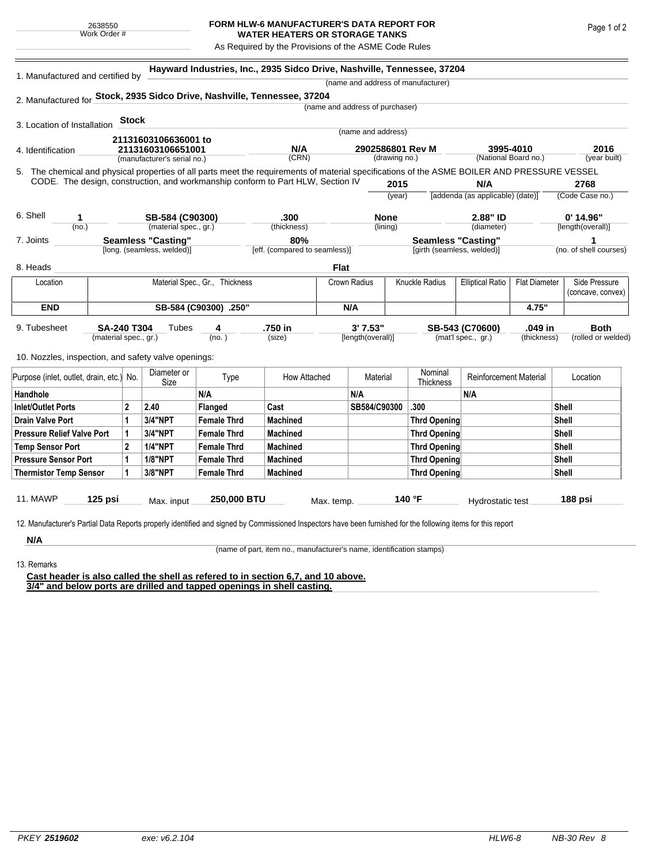## **FORM HLW-6 MANUFACTURER'S DATA REPORT FOR WATER HEATERS OR STORAGE TANKS**

As Required by the Provisions of the ASME Code Rules

| 1. Manufactured and certified by                                                                                                                                                                                                |                                                         |                |                | Hayward Industries, Inc., 2935 Sidco Drive, Nashville, Tennessee, 37204 |                                      |                                 |                                   |                         |                                                         |                                    |                      |                        |
|---------------------------------------------------------------------------------------------------------------------------------------------------------------------------------------------------------------------------------|---------------------------------------------------------|----------------|----------------|-------------------------------------------------------------------------|--------------------------------------|---------------------------------|-----------------------------------|-------------------------|---------------------------------------------------------|------------------------------------|----------------------|------------------------|
|                                                                                                                                                                                                                                 |                                                         |                |                |                                                                         |                                      |                                 |                                   |                         | (name and address of manufacturer)                      |                                    |                      |                        |
| 2. Manufactured for Stock, 2935 Sidco Drive, Nashville, Tennessee, 37204                                                                                                                                                        |                                                         |                |                |                                                                         |                                      |                                 |                                   |                         |                                                         |                                    |                      |                        |
|                                                                                                                                                                                                                                 |                                                         |                |                |                                                                         |                                      | (name and address of purchaser) |                                   |                         |                                                         |                                    |                      |                        |
| 3. Location of Installation                                                                                                                                                                                                     |                                                         | <b>Stock</b>   |                |                                                                         |                                      |                                 |                                   |                         |                                                         |                                    |                      |                        |
| 21131603106636001 to<br>21131603106651001<br>4. Identification<br>(manufacturer's serial no.)                                                                                                                                   |                                                         |                |                |                                                                         | (name and address)                   |                                 |                                   |                         |                                                         |                                    |                      |                        |
|                                                                                                                                                                                                                                 |                                                         |                |                |                                                                         | N/A<br>(CRN)                         |                                 | 2902586801 Rev M<br>(drawing no.) |                         | 3995-4010<br>(National Board no.)                       |                                    | 2016<br>(year built) |                        |
|                                                                                                                                                                                                                                 |                                                         |                |                |                                                                         |                                      |                                 |                                   |                         |                                                         |                                    |                      |                        |
| 5. The chemical and physical properties of all parts meet the requirements of material specifications of the ASME BOILER AND PRESSURE VESSEL<br>CODE. The design, construction, and workmanship conform to Part HLW, Section IV |                                                         |                |                |                                                                         |                                      |                                 | 2015                              |                         | N/A                                                     |                                    | 2768                 |                        |
|                                                                                                                                                                                                                                 |                                                         |                |                |                                                                         |                                      |                                 | (year)                            |                         | [addenda (as applicable) (date)]                        |                                    | (Code Case no.)      |                        |
|                                                                                                                                                                                                                                 |                                                         |                |                |                                                                         |                                      |                                 |                                   |                         |                                                         |                                    |                      |                        |
| 6. Shell<br>SB-584 (C90300)<br>1                                                                                                                                                                                                |                                                         |                |                |                                                                         | .300                                 |                                 | <b>None</b>                       |                         |                                                         | 2.88" ID                           |                      | 0' 14.96"              |
|                                                                                                                                                                                                                                 | (material spec., gr.)<br>(no.)                          |                |                |                                                                         | (thickness)                          |                                 | (lining)                          |                         |                                                         | (diameter)                         |                      | [length(overall)]      |
| 7. Joints                                                                                                                                                                                                                       | <b>Seamless "Casting"</b><br>[long. (seamless, welded)] |                |                |                                                                         | 80%<br>[eff. (compared to seamless)] |                                 |                                   |                         | <b>Seamless "Casting"</b><br>[girth (seamless, welded)] |                                    |                      | (no. of shell courses) |
|                                                                                                                                                                                                                                 |                                                         |                |                |                                                                         |                                      |                                 |                                   |                         |                                                         |                                    |                      |                        |
| 8. Heads                                                                                                                                                                                                                        |                                                         |                |                |                                                                         |                                      | <b>Flat</b>                     |                                   |                         |                                                         |                                    |                      |                        |
| Material Spec., Gr., Thickness<br>Location                                                                                                                                                                                      |                                                         |                |                |                                                                         | Crown Radius                         |                                 | <b>Knuckle Radius</b>             | <b>Elliptical Ratio</b> | <b>Flat Diameter</b>                                    | Side Pressure<br>(concave, convex) |                      |                        |
| <b>END</b>                                                                                                                                                                                                                      |                                                         |                |                |                                                                         | N/A                                  |                                 |                                   |                         |                                                         |                                    | 4.75"                |                        |
|                                                                                                                                                                                                                                 | SB-584 (C90300) .250"                                   |                |                |                                                                         |                                      |                                 |                                   |                         |                                                         |                                    |                      |                        |
| 9. Tubesheet                                                                                                                                                                                                                    | <b>SA-240 T304</b><br>Tubes<br>4                        |                |                |                                                                         | .750 in                              | 3'7.53"                         |                                   |                         |                                                         | SB-543 (C70600)<br>.049 in         |                      | <b>Both</b>            |
|                                                                                                                                                                                                                                 | (material spec., gr.)                                   |                |                | (no. )                                                                  | (size)                               |                                 | [length(overall)]                 |                         |                                                         | (mat'l spec., gr.)                 | (thickness)          | (rolled or welded)     |
| 10. Nozzles, inspection, and safety valve openings:                                                                                                                                                                             |                                                         |                |                |                                                                         |                                      |                                 |                                   |                         |                                                         |                                    |                      |                        |
| Diameter or                                                                                                                                                                                                                     |                                                         |                |                |                                                                         |                                      |                                 |                                   | Nominal                 |                                                         |                                    |                      |                        |
| Purpose (inlet, outlet, drain, etc.) No.                                                                                                                                                                                        |                                                         |                | Type<br>Size   |                                                                         | How Attached                         |                                 | <b>Material</b>                   |                         | Thickness                                               | <b>Reinforcement Material</b>      |                      | Location               |
| Handhole                                                                                                                                                                                                                        |                                                         |                |                | N/A                                                                     |                                      |                                 | N/A                               |                         |                                                         | N/A                                |                      |                        |
| <b>Inlet/Outlet Ports</b>                                                                                                                                                                                                       |                                                         | $\overline{2}$ | 2.40           | <b>Flanged</b>                                                          | Cast                                 |                                 | SB584/C90300                      |                         | .300                                                    |                                    |                      | <b>Shell</b>           |
| <b>Drain Valve Port</b>                                                                                                                                                                                                         |                                                         | 1              | 3/4"NPT        | <b>Female Thrd</b>                                                      | <b>Machined</b>                      |                                 |                                   |                         | <b>Thrd Opening</b>                                     |                                    |                      | <b>Shell</b>           |
| <b>Pressure Relief Valve Port</b>                                                                                                                                                                                               |                                                         | 1              | 3/4"NPT        | <b>Female Thrd</b>                                                      | <b>Machined</b>                      |                                 |                                   |                         | <b>Thrd Opening</b>                                     |                                    |                      | <b>Shell</b>           |
| <b>Temp Sensor Port</b>                                                                                                                                                                                                         |                                                         | $\overline{2}$ | <b>1/4"NPT</b> | <b>Female Thrd</b>                                                      | <b>Machined</b>                      |                                 |                                   |                         | <b>Thrd Opening</b>                                     |                                    |                      | Shell                  |
| <b>Pressure Sensor Port</b>                                                                                                                                                                                                     |                                                         | $\mathbf{1}$   | <b>1/8"NPT</b> | <b>Female Thrd</b>                                                      | <b>Machined</b>                      |                                 |                                   |                         | <b>Thrd Opening</b>                                     |                                    |                      | <b>Shell</b>           |
| <b>Thermistor Temp Sensor</b>                                                                                                                                                                                                   |                                                         | $\mathbf{1}$   | 3/8"NPT        | <b>Female Thrd</b>                                                      | <b>Machined</b>                      |                                 |                                   |                         | <b>Thrd Opening</b>                                     |                                    |                      | <b>Shell</b>           |
|                                                                                                                                                                                                                                 |                                                         |                |                |                                                                         |                                      |                                 |                                   |                         |                                                         |                                    |                      |                        |
| 11. MAWP<br>$125$ psi                                                                                                                                                                                                           |                                                         | Max. input     |                | 250,000 BTU                                                             |                                      | Max. temp.                      |                                   |                         | 140 °F                                                  | Hydrostatic test                   |                      | 188 psi                |

acturer's Partial Data Reports properly identified and signed by Commissioned Inspectors have been furnished for the following items for this report

**N/A** 13. Remarks

(name of part, item no., manufacturer's name, identification stamps)

**Cast header is also called the shell as refered to in section 6,7, and 10 above. 3/4" and below ports are drilled and tapped openings in shell casting.**